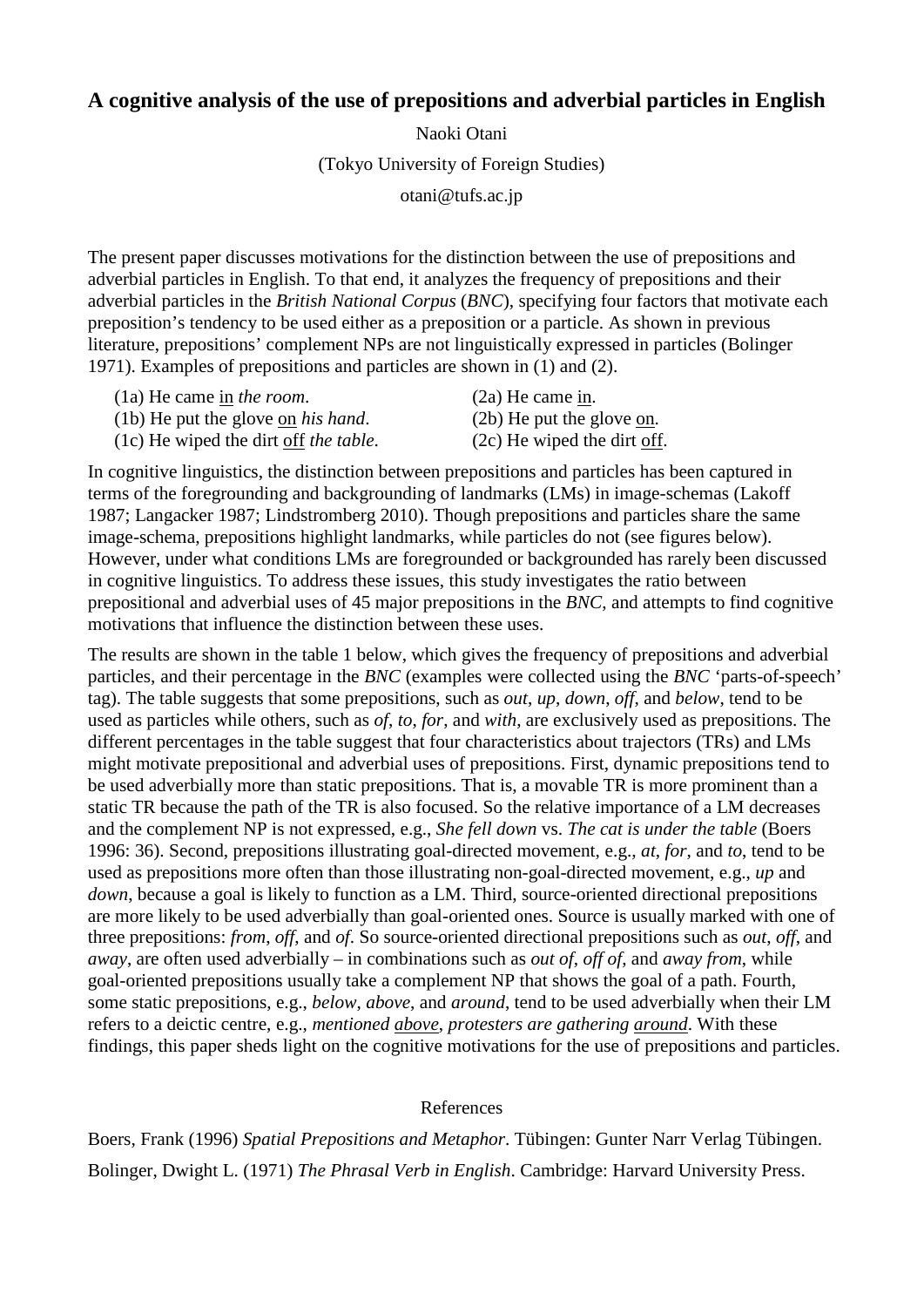## **A cognitive analysis of the use of prepositions and adverbial particles in English**

Naoki Otani (Tokyo University of Foreign Studies) otani@tufs.ac.jp

The present paper discusses motivations for the distinction between the use of prepositions and adverbial particles in English. To that end, it analyzes the frequency of prepositions and their adverbial particles in the *British National Corpus* (*BNC*), specifying four factors that motivate each preposition's tendency to be used either as a preposition or a particle. As shown in previous literature, prepositions' complement NPs are not linguistically expressed in particles (Bolinger 1971). Examples of prepositions and particles are shown in (1) and (2).

|  |  | $(1a)$ He came $\underline{in}$ the room. |  |
|--|--|-------------------------------------------|--|
|  |  |                                           |  |

(1b) He put the glove on *his hand*. (2b) He put the glove on.

(1c) He wiped the dirt off *the table*. (2c) He wiped the dirt off.

 $(2a)$  He came  $\underline{in}$ .

In cognitive linguistics, the distinction between prepositions and particles has been captured in terms of the foregrounding and backgrounding of landmarks (LMs) in image-schemas (Lakoff 1987; Langacker 1987; Lindstromberg 2010). Though prepositions and particles share the same image-schema, prepositions highlight landmarks, while particles do not (see figures below). However, under what conditions LMs are foregrounded or backgrounded has rarely been discussed in cognitive linguistics. To address these issues, this study investigates the ratio between prepositional and adverbial uses of 45 major prepositions in the *BNC*, and attempts to find cognitive motivations that influence the distinction between these uses.

The results are shown in the table 1 below, which gives the frequency of prepositions and adverbial particles, and their percentage in the *BNC* (examples were collected using the *BNC* 'parts-of-speech' tag). The table suggests that some prepositions, such as *out*, *up*, *down*, *off*, and *below*, tend to be used as particles while others, such as *of*, *to*, *for*, and *with*, are exclusively used as prepositions. The different percentages in the table suggest that four characteristics about trajectors (TRs) and LMs might motivate prepositional and adverbial uses of prepositions. First, dynamic prepositions tend to be used adverbially more than static prepositions. That is, a movable TR is more prominent than a static TR because the path of the TR is also focused. So the relative importance of a LM decreases and the complement NP is not expressed, e.g., *She fell down* vs. *The cat is under the table* (Boers 1996: 36). Second, prepositions illustrating goal-directed movement, e.g., *at*, *for*, and *to*, tend to be used as prepositions more often than those illustrating non-goal-directed movement, e.g., *up* and *down*, because a goal is likely to function as a LM. Third, source-oriented directional prepositions are more likely to be used adverbially than goal-oriented ones. Source is usually marked with one of three prepositions: *from*, *off*, and *of*. So source-oriented directional prepositions such as *out*, *off*, and *away*, are often used adverbially – in combinations such as *out of*, *off of*, and *away from*, while goal-oriented prepositions usually take a complement NP that shows the goal of a path. Fourth, some static prepositions, e.g., *below*, *above*, and *around*, tend to be used adverbially when their LM refers to a deictic centre, e.g., *mentioned above*, *protesters are gathering around*. With these findings, this paper sheds light on the cognitive motivations for the use of prepositions and particles.

## References

Boers, Frank (1996) *Spatial Prepositions and Metaphor*. Tübingen: Gunter Narr Verlag Tübingen. Bolinger, Dwight L. (1971) *The Phrasal Verb in English*. Cambridge: Harvard University Press.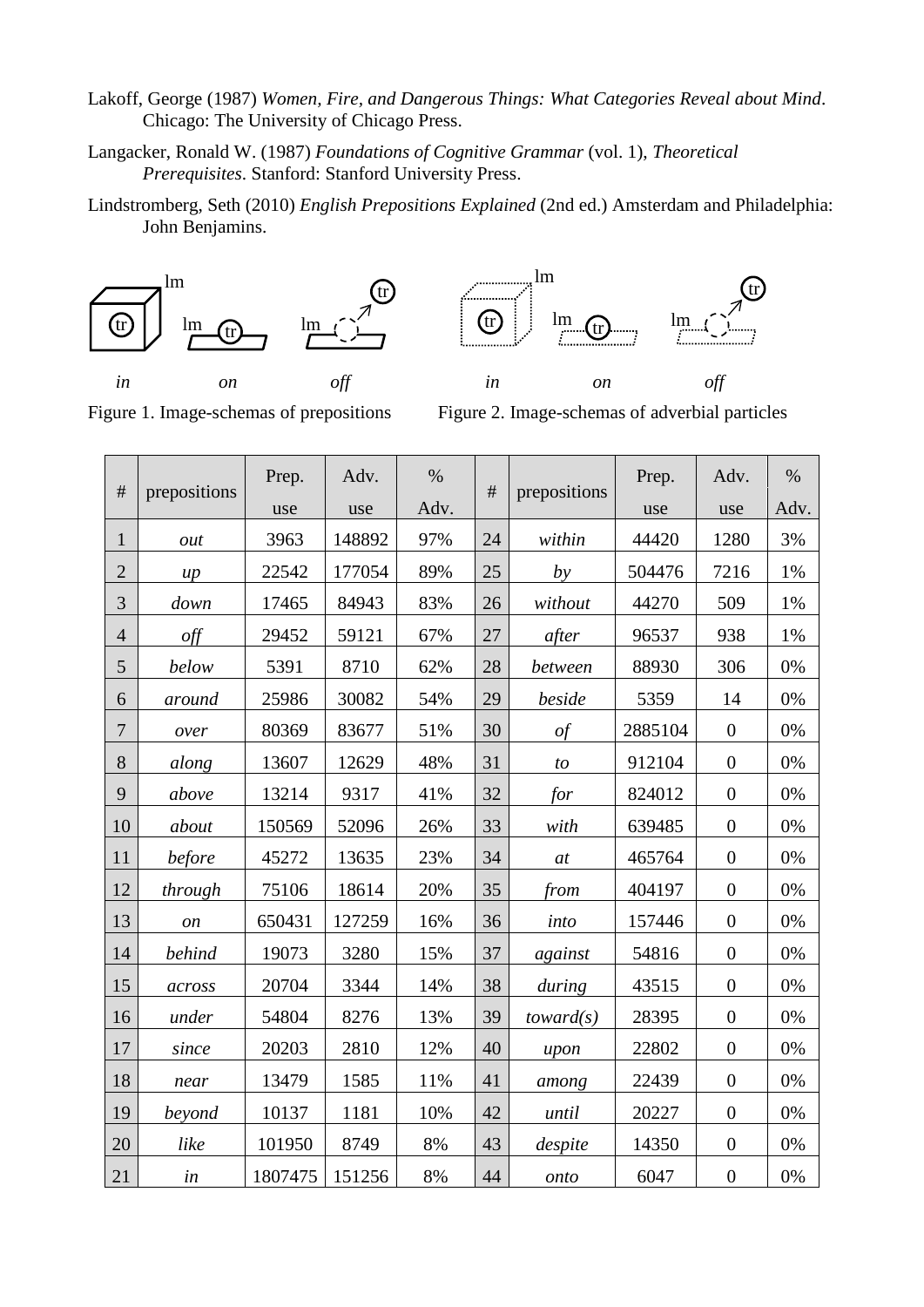- Lakoff, George (1987) *Women, Fire, and Dangerous Things: What Categories Reveal about Mind*. Chicago: The University of Chicago Press.
- Langacker, Ronald W. (1987) *Foundations of Cognitive Grammar* (vol. 1), *Theoretical Prerequisites*. Stanford: Stanford University Press.
- Lindstromberg, Seth (2010) *English Prepositions Explained* (2nd ed.) Amsterdam and Philadelphia: John Benjamins.



Figure 1. Image-schemas of prepositions Figure 2. Image-schemas of adverbial particles

| $\#$           |                                 | Prep.   | Adv.   | $\%$ | #  |              | Prep.   | Adv.             | $\%$  |
|----------------|---------------------------------|---------|--------|------|----|--------------|---------|------------------|-------|
|                | prepositions                    | use     | use    | Adv. |    | prepositions | use     | use              | Adv.  |
| $\mathbf{1}$   | out                             | 3963    | 148892 | 97%  | 24 | within       | 44420   | 1280             | 3%    |
| $\overline{2}$ | $\mu$                           | 22542   | 177054 | 89%  | 25 | by           | 504476  | 7216             | 1%    |
| 3              | down                            | 17465   | 84943  | 83%  | 26 | without      | 44270   | 509              | 1%    |
| $\overline{4}$ | $\frac{\partial f}{\partial x}$ | 29452   | 59121  | 67%  | 27 | after        | 96537   | 938              | 1%    |
| 5              | below                           | 5391    | 8710   | 62%  | 28 | between      | 88930   | 306              | $0\%$ |
| 6              | around                          | 25986   | 30082  | 54%  | 29 | beside       | 5359    | 14               | 0%    |
| $\tau$         | over                            | 80369   | 83677  | 51%  | 30 | $\iota$      | 2885104 | $\boldsymbol{0}$ | 0%    |
| 8              | along                           | 13607   | 12629  | 48%  | 31 | to           | 912104  | $\overline{0}$   | 0%    |
| 9              | above                           | 13214   | 9317   | 41%  | 32 | for          | 824012  | $\boldsymbol{0}$ | 0%    |
| 10             | about                           | 150569  | 52096  | 26%  | 33 | with         | 639485  | $\boldsymbol{0}$ | $0\%$ |
| 11             | before                          | 45272   | 13635  | 23%  | 34 | at           | 465764  | $\boldsymbol{0}$ | 0%    |
| 12             | through                         | 75106   | 18614  | 20%  | 35 | from         | 404197  | $\boldsymbol{0}$ | 0%    |
| 13             | <i>on</i>                       | 650431  | 127259 | 16%  | 36 | into         | 157446  | $\overline{0}$   | 0%    |
| 14             | <b>behind</b>                   | 19073   | 3280   | 15%  | 37 | against      | 54816   | $\boldsymbol{0}$ | 0%    |
| 15             | across                          | 20704   | 3344   | 14%  | 38 | during       | 43515   | $\boldsymbol{0}$ | 0%    |
| 16             | under                           | 54804   | 8276   | 13%  | 39 | toward(s)    | 28395   | $\overline{0}$   | 0%    |
| 17             | since                           | 20203   | 2810   | 12%  | 40 | upon         | 22802   | $\boldsymbol{0}$ | 0%    |
| 18             | near                            | 13479   | 1585   | 11%  | 41 | among        | 22439   | $\boldsymbol{0}$ | 0%    |
| 19             | beyond                          | 10137   | 1181   | 10%  | 42 | until        | 20227   | $\overline{0}$   | 0%    |
| 20             | like                            | 101950  | 8749   | 8%   | 43 | despite      | 14350   | $\boldsymbol{0}$ | 0%    |
| 21             | in                              | 1807475 | 151256 | 8%   | 44 | onto         | 6047    | $\boldsymbol{0}$ | 0%    |